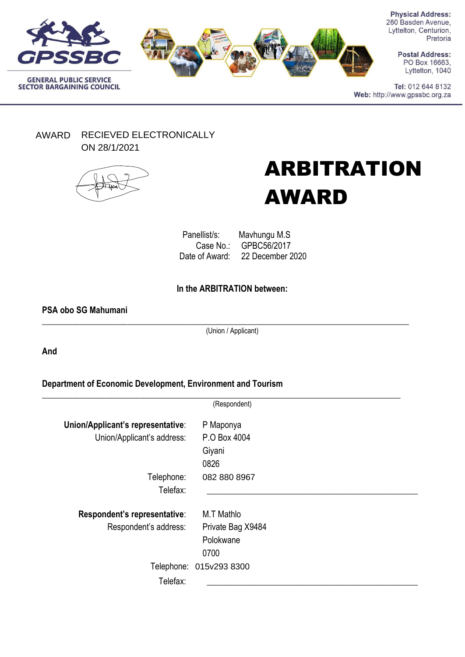



**Physical Address:** 260 Basden Avenue, Lyttelton, Centurion, Pretoria

> **Postal Address:** PO Box 16663, Lyttelton, 1040

Tel: 012 644 8132 Web: http://www.gpssbc.org.za

AWARD RECIEVED ELECTRONICALLY ON 28/1/2021



# ARBITRATION AWARD

Panellist/s: Mavhungu M.S<br>Case No.: GPBC56/2017 GPBC56/2017 Date of Award: 22 December 2020

# **In the ARBITRATION between:**

### **PSA obo SG Mahumani**

\_\_\_\_\_\_\_\_\_\_\_\_\_\_\_\_\_\_\_\_\_\_\_\_\_\_\_\_\_\_\_\_\_\_\_\_\_\_\_\_\_\_\_\_\_\_\_\_\_\_\_\_\_\_\_\_\_\_\_\_\_\_\_\_\_\_\_\_\_\_\_\_\_\_\_\_\_\_\_\_\_\_\_\_\_\_ (Union / Applicant)

**And**

**Department of Economic Development, Environment and Tourism**

|                                   | (Respondent)            |  |
|-----------------------------------|-------------------------|--|
| Union/Applicant's representative: | P Maponya               |  |
| Union/Applicant's address:        | P.O Box 4004            |  |
|                                   | Giyani                  |  |
|                                   | 0826                    |  |
| Telephone:                        | 082 880 8967            |  |
| Telefax:                          |                         |  |
| Respondent's representative:      | M.T Mathlo              |  |
| Respondent's address:             | Private Bag X9484       |  |
|                                   | Polokwane               |  |
|                                   | 0700                    |  |
|                                   | Telephone: 015v293 8300 |  |
| Telefax:                          |                         |  |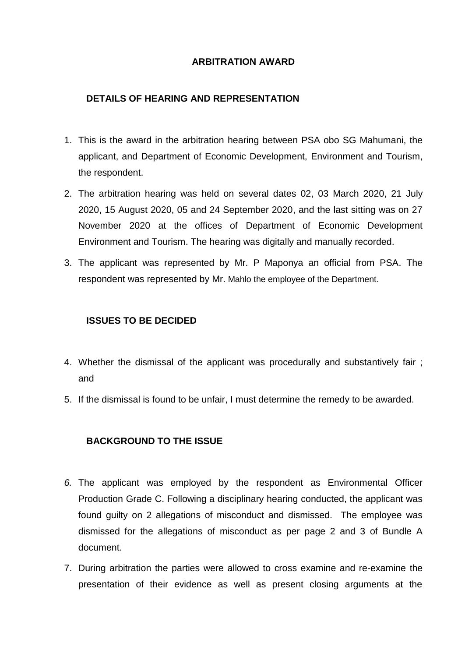## **ARBITRATION AWARD**

## **DETAILS OF HEARING AND REPRESENTATION**

- 1. This is the award in the arbitration hearing between PSA obo SG Mahumani, the applicant, and Department of Economic Development, Environment and Tourism, the respondent.
- 2. The arbitration hearing was held on several dates 02, 03 March 2020, 21 July 2020, 15 August 2020, 05 and 24 September 2020, and the last sitting was on 27 November 2020 at the offices of Department of Economic Development Environment and Tourism. The hearing was digitally and manually recorded.
- 3. The applicant was represented by Mr. P Maponya an official from PSA. The respondent was represented by Mr. Mahlo the employee of the Department.

## **ISSUES TO BE DECIDED**

- 4. Whether the dismissal of the applicant was procedurally and substantively fair ; and
- 5. If the dismissal is found to be unfair, I must determine the remedy to be awarded.

### **BACKGROUND TO THE ISSUE**

- *6.* The applicant was employed by the respondent as Environmental Officer Production Grade C. Following a disciplinary hearing conducted, the applicant was found guilty on 2 allegations of misconduct and dismissed. The employee was dismissed for the allegations of misconduct as per page 2 and 3 of Bundle A document.
- 7. During arbitration the parties were allowed to cross examine and re-examine the presentation of their evidence as well as present closing arguments at the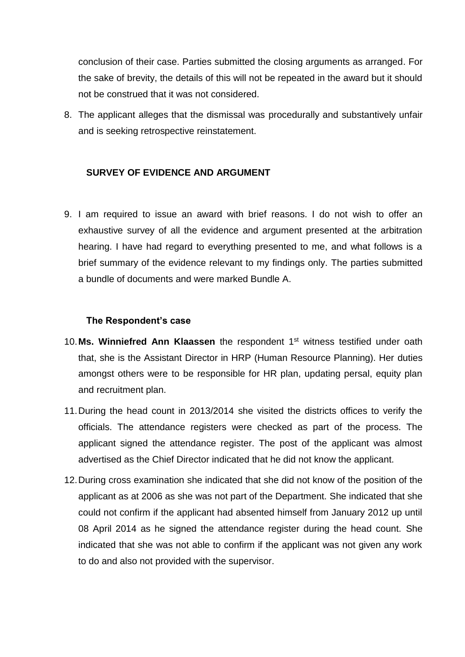conclusion of their case. Parties submitted the closing arguments as arranged. For the sake of brevity, the details of this will not be repeated in the award but it should not be construed that it was not considered.

8. The applicant alleges that the dismissal was procedurally and substantively unfair and is seeking retrospective reinstatement.

# **SURVEY OF EVIDENCE AND ARGUMENT**

9. I am required to issue an award with brief reasons. I do not wish to offer an exhaustive survey of all the evidence and argument presented at the arbitration hearing. I have had regard to everything presented to me, and what follows is a brief summary of the evidence relevant to my findings only. The parties submitted a bundle of documents and were marked Bundle A.

#### **The Respondent's case**

- 10.**Ms. Winniefred Ann Klaassen** the respondent 1st witness testified under oath that, she is the Assistant Director in HRP (Human Resource Planning). Her duties amongst others were to be responsible for HR plan, updating persal, equity plan and recruitment plan.
- 11.During the head count in 2013/2014 she visited the districts offices to verify the officials. The attendance registers were checked as part of the process. The applicant signed the attendance register. The post of the applicant was almost advertised as the Chief Director indicated that he did not know the applicant.
- 12.During cross examination she indicated that she did not know of the position of the applicant as at 2006 as she was not part of the Department. She indicated that she could not confirm if the applicant had absented himself from January 2012 up until 08 April 2014 as he signed the attendance register during the head count. She indicated that she was not able to confirm if the applicant was not given any work to do and also not provided with the supervisor.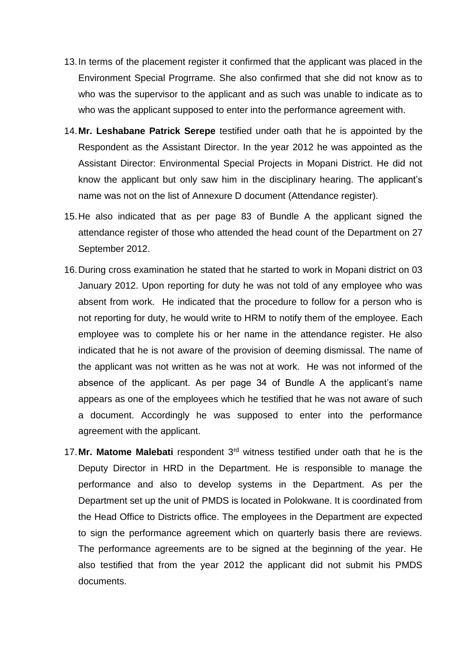- 13.In terms of the placement register it confirmed that the applicant was placed in the Environment Special Progrrame. She also confirmed that she did not know as to who was the supervisor to the applicant and as such was unable to indicate as to who was the applicant supposed to enter into the performance agreement with.
- 14.**Mr. Leshabane Patrick Serepe** testified under oath that he is appointed by the Respondent as the Assistant Director. In the year 2012 he was appointed as the Assistant Director: Environmental Special Projects in Mopani District. He did not know the applicant but only saw him in the disciplinary hearing. The applicant's name was not on the list of Annexure D document (Attendance register).
- 15.He also indicated that as per page 83 of Bundle A the applicant signed the attendance register of those who attended the head count of the Department on 27 September 2012.
- 16.During cross examination he stated that he started to work in Mopani district on 03 January 2012. Upon reporting for duty he was not told of any employee who was absent from work. He indicated that the procedure to follow for a person who is not reporting for duty, he would write to HRM to notify them of the employee. Each employee was to complete his or her name in the attendance register. He also indicated that he is not aware of the provision of deeming dismissal. The name of the applicant was not written as he was not at work. He was not informed of the absence of the applicant. As per page 34 of Bundle A the applicant's name appears as one of the employees which he testified that he was not aware of such a document. Accordingly he was supposed to enter into the performance agreement with the applicant.
- 17.**Mr. Matome Malebati** respondent 3rd witness testified under oath that he is the Deputy Director in HRD in the Department. He is responsible to manage the performance and also to develop systems in the Department. As per the Department set up the unit of PMDS is located in Polokwane. It is coordinated from the Head Office to Districts office. The employees in the Department are expected to sign the performance agreement which on quarterly basis there are reviews. The performance agreements are to be signed at the beginning of the year. He also testified that from the year 2012 the applicant did not submit his PMDS documents.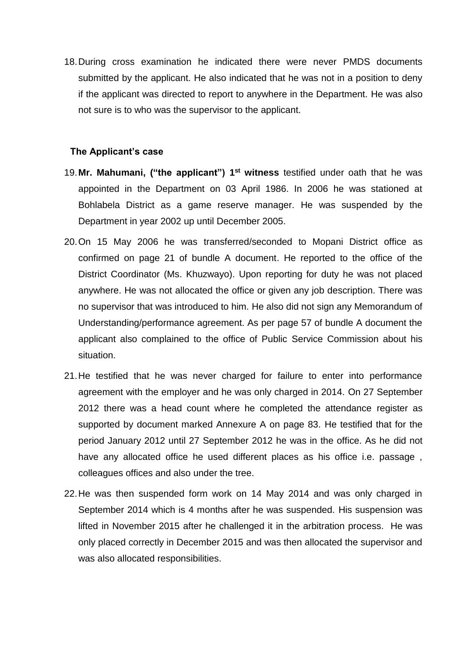18.During cross examination he indicated there were never PMDS documents submitted by the applicant. He also indicated that he was not in a position to deny if the applicant was directed to report to anywhere in the Department. He was also not sure is to who was the supervisor to the applicant.

#### **The Applicant's case**

- 19.**Mr. Mahumani, ("the applicant") 1 st witness** testified under oath that he was appointed in the Department on 03 April 1986. In 2006 he was stationed at Bohlabela District as a game reserve manager. He was suspended by the Department in year 2002 up until December 2005.
- 20.On 15 May 2006 he was transferred/seconded to Mopani District office as confirmed on page 21 of bundle A document. He reported to the office of the District Coordinator (Ms. Khuzwayo). Upon reporting for duty he was not placed anywhere. He was not allocated the office or given any job description. There was no supervisor that was introduced to him. He also did not sign any Memorandum of Understanding/performance agreement. As per page 57 of bundle A document the applicant also complained to the office of Public Service Commission about his situation.
- 21.He testified that he was never charged for failure to enter into performance agreement with the employer and he was only charged in 2014. On 27 September 2012 there was a head count where he completed the attendance register as supported by document marked Annexure A on page 83. He testified that for the period January 2012 until 27 September 2012 he was in the office. As he did not have any allocated office he used different places as his office i.e. passage , colleagues offices and also under the tree.
- 22.He was then suspended form work on 14 May 2014 and was only charged in September 2014 which is 4 months after he was suspended. His suspension was lifted in November 2015 after he challenged it in the arbitration process. He was only placed correctly in December 2015 and was then allocated the supervisor and was also allocated responsibilities.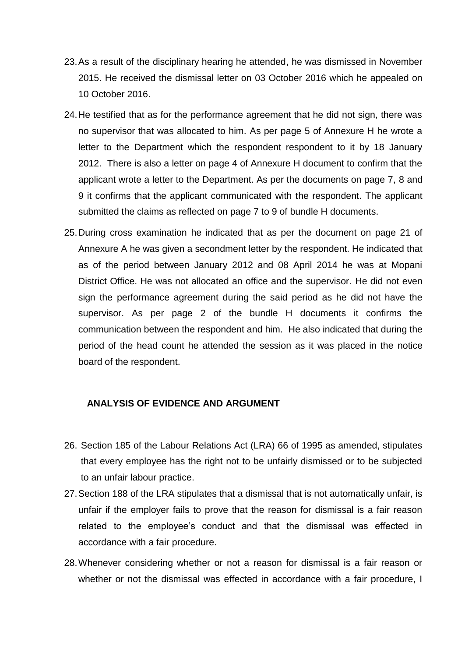- 23.As a result of the disciplinary hearing he attended, he was dismissed in November 2015. He received the dismissal letter on 03 October 2016 which he appealed on 10 October 2016.
- 24.He testified that as for the performance agreement that he did not sign, there was no supervisor that was allocated to him. As per page 5 of Annexure H he wrote a letter to the Department which the respondent respondent to it by 18 January 2012. There is also a letter on page 4 of Annexure H document to confirm that the applicant wrote a letter to the Department. As per the documents on page 7, 8 and 9 it confirms that the applicant communicated with the respondent. The applicant submitted the claims as reflected on page 7 to 9 of bundle H documents.
- 25.During cross examination he indicated that as per the document on page 21 of Annexure A he was given a secondment letter by the respondent. He indicated that as of the period between January 2012 and 08 April 2014 he was at Mopani District Office. He was not allocated an office and the supervisor. He did not even sign the performance agreement during the said period as he did not have the supervisor. As per page 2 of the bundle H documents it confirms the communication between the respondent and him. He also indicated that during the period of the head count he attended the session as it was placed in the notice board of the respondent.

#### **ANALYSIS OF EVIDENCE AND ARGUMENT**

- 26. Section 185 of the Labour Relations Act (LRA) 66 of 1995 as amended, stipulates that every employee has the right not to be unfairly dismissed or to be subjected to an unfair labour practice.
- 27.Section 188 of the LRA stipulates that a dismissal that is not automatically unfair, is unfair if the employer fails to prove that the reason for dismissal is a fair reason related to the employee's conduct and that the dismissal was effected in accordance with a fair procedure.
- 28.Whenever considering whether or not a reason for dismissal is a fair reason or whether or not the dismissal was effected in accordance with a fair procedure, I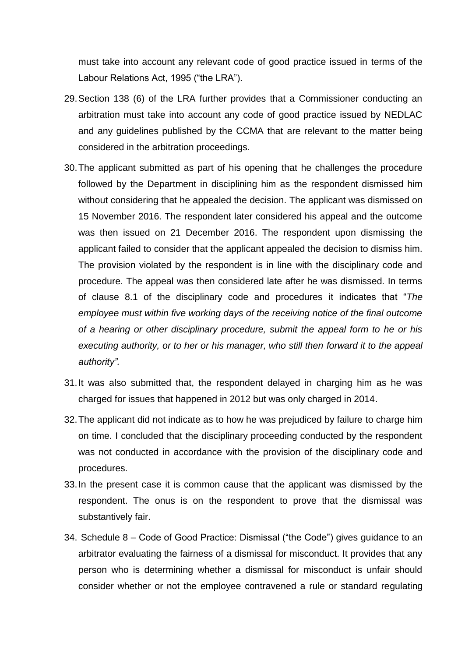must take into account any relevant code of good practice issued in terms of the Labour Relations Act, 1995 ("the LRA").

- 29.Section 138 (6) of the LRA further provides that a Commissioner conducting an arbitration must take into account any code of good practice issued by NEDLAC and any guidelines published by the CCMA that are relevant to the matter being considered in the arbitration proceedings.
- 30.The applicant submitted as part of his opening that he challenges the procedure followed by the Department in disciplining him as the respondent dismissed him without considering that he appealed the decision. The applicant was dismissed on 15 November 2016. The respondent later considered his appeal and the outcome was then issued on 21 December 2016. The respondent upon dismissing the applicant failed to consider that the applicant appealed the decision to dismiss him. The provision violated by the respondent is in line with the disciplinary code and procedure. The appeal was then considered late after he was dismissed. In terms of clause 8.1 of the disciplinary code and procedures it indicates that "*The employee must within five working days of the receiving notice of the final outcome of a hearing or other disciplinary procedure, submit the appeal form to he or his executing authority, or to her or his manager, who still then forward it to the appeal authority".*
- 31.It was also submitted that, the respondent delayed in charging him as he was charged for issues that happened in 2012 but was only charged in 2014.
- 32.The applicant did not indicate as to how he was prejudiced by failure to charge him on time. I concluded that the disciplinary proceeding conducted by the respondent was not conducted in accordance with the provision of the disciplinary code and procedures.
- 33.In the present case it is common cause that the applicant was dismissed by the respondent. The onus is on the respondent to prove that the dismissal was substantively fair.
- 34. Schedule 8 Code of Good Practice: Dismissal ("the Code") gives guidance to an arbitrator evaluating the fairness of a dismissal for misconduct. It provides that any person who is determining whether a dismissal for misconduct is unfair should consider whether or not the employee contravened a rule or standard regulating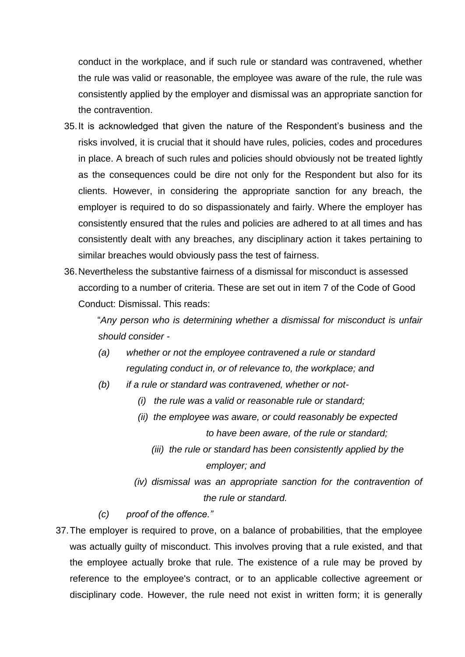conduct in the workplace, and if such rule or standard was contravened, whether the rule was valid or reasonable, the employee was aware of the rule, the rule was consistently applied by the employer and dismissal was an appropriate sanction for the contravention.

- 35.It is acknowledged that given the nature of the Respondent's business and the risks involved, it is crucial that it should have rules, policies, codes and procedures in place. A breach of such rules and policies should obviously not be treated lightly as the consequences could be dire not only for the Respondent but also for its clients. However, in considering the appropriate sanction for any breach, the employer is required to do so dispassionately and fairly. Where the employer has consistently ensured that the rules and policies are adhered to at all times and has consistently dealt with any breaches, any disciplinary action it takes pertaining to similar breaches would obviously pass the test of fairness.
- 36.Nevertheless the substantive fairness of a dismissal for misconduct is assessed according to a number of criteria. These are set out in item 7 of the Code of Good Conduct: Dismissal. This reads:

"*Any person who is determining whether a dismissal for misconduct is unfair should consider -*

- *(a) whether or not the employee contravened a rule or standard regulating conduct in, or of relevance to, the workplace; and*
- *(b) if a rule or standard was contravened, whether or not-*
	- *(i) the rule was a valid or reasonable rule or standard;*
	- *(ii) the employee was aware, or could reasonably be expected to have been aware, of the rule or standard;*
		- *(iii) the rule or standard has been consistently applied by the employer; and*
	- *(iv) dismissal was an appropriate sanction for the contravention of the rule or standard.*
- *(c) proof of the offence."*
- 37.The employer is required to prove, on a balance of probabilities, that the employee was actually guilty of misconduct. This involves proving that a rule existed, and that the employee actually broke that rule. The existence of a rule may be proved by reference to the employee's contract, or to an applicable collective agreement or disciplinary code. However, the rule need not exist in written form; it is generally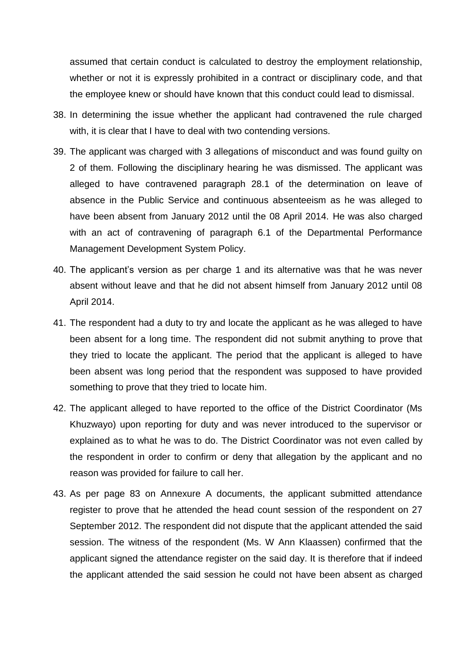assumed that certain conduct is calculated to destroy the employment relationship, whether or not it is expressly prohibited in a contract or disciplinary code, and that the employee knew or should have known that this conduct could lead to dismissal.

- 38. In determining the issue whether the applicant had contravened the rule charged with, it is clear that I have to deal with two contending versions.
- 39. The applicant was charged with 3 allegations of misconduct and was found guilty on 2 of them. Following the disciplinary hearing he was dismissed. The applicant was alleged to have contravened paragraph 28.1 of the determination on leave of absence in the Public Service and continuous absenteeism as he was alleged to have been absent from January 2012 until the 08 April 2014. He was also charged with an act of contravening of paragraph 6.1 of the Departmental Performance Management Development System Policy.
- 40. The applicant's version as per charge 1 and its alternative was that he was never absent without leave and that he did not absent himself from January 2012 until 08 April 2014.
- 41. The respondent had a duty to try and locate the applicant as he was alleged to have been absent for a long time. The respondent did not submit anything to prove that they tried to locate the applicant. The period that the applicant is alleged to have been absent was long period that the respondent was supposed to have provided something to prove that they tried to locate him.
- 42. The applicant alleged to have reported to the office of the District Coordinator (Ms Khuzwayo) upon reporting for duty and was never introduced to the supervisor or explained as to what he was to do. The District Coordinator was not even called by the respondent in order to confirm or deny that allegation by the applicant and no reason was provided for failure to call her.
- 43. As per page 83 on Annexure A documents, the applicant submitted attendance register to prove that he attended the head count session of the respondent on 27 September 2012. The respondent did not dispute that the applicant attended the said session. The witness of the respondent (Ms. W Ann Klaassen) confirmed that the applicant signed the attendance register on the said day. It is therefore that if indeed the applicant attended the said session he could not have been absent as charged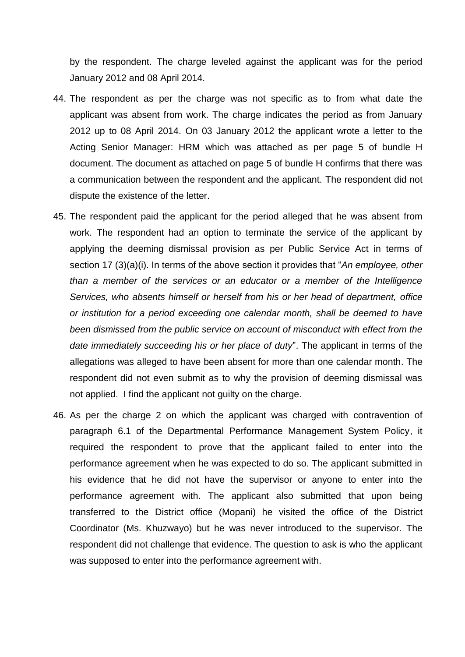by the respondent. The charge leveled against the applicant was for the period January 2012 and 08 April 2014.

- 44. The respondent as per the charge was not specific as to from what date the applicant was absent from work. The charge indicates the period as from January 2012 up to 08 April 2014. On 03 January 2012 the applicant wrote a letter to the Acting Senior Manager: HRM which was attached as per page 5 of bundle H document. The document as attached on page 5 of bundle H confirms that there was a communication between the respondent and the applicant. The respondent did not dispute the existence of the letter.
- 45. The respondent paid the applicant for the period alleged that he was absent from work. The respondent had an option to terminate the service of the applicant by applying the deeming dismissal provision as per Public Service Act in terms of section 17 (3)(a)(i). In terms of the above section it provides that "*An employee, other than a member of the services or an educator or a member of the Intelligence Services, who absents himself or herself from his or her head of department, office or institution for a period exceeding one calendar month, shall be deemed to have been dismissed from the public service on account of misconduct with effect from the date immediately succeeding his or her place of duty*". The applicant in terms of the allegations was alleged to have been absent for more than one calendar month. The respondent did not even submit as to why the provision of deeming dismissal was not applied. I find the applicant not guilty on the charge.
- 46. As per the charge 2 on which the applicant was charged with contravention of paragraph 6.1 of the Departmental Performance Management System Policy, it required the respondent to prove that the applicant failed to enter into the performance agreement when he was expected to do so. The applicant submitted in his evidence that he did not have the supervisor or anyone to enter into the performance agreement with. The applicant also submitted that upon being transferred to the District office (Mopani) he visited the office of the District Coordinator (Ms. Khuzwayo) but he was never introduced to the supervisor. The respondent did not challenge that evidence. The question to ask is who the applicant was supposed to enter into the performance agreement with.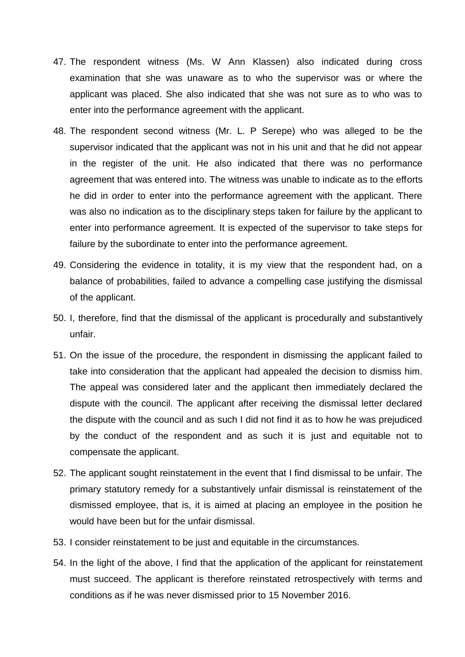- 47. The respondent witness (Ms. W Ann Klassen) also indicated during cross examination that she was unaware as to who the supervisor was or where the applicant was placed. She also indicated that she was not sure as to who was to enter into the performance agreement with the applicant.
- 48. The respondent second witness (Mr. L. P Serepe) who was alleged to be the supervisor indicated that the applicant was not in his unit and that he did not appear in the register of the unit. He also indicated that there was no performance agreement that was entered into. The witness was unable to indicate as to the efforts he did in order to enter into the performance agreement with the applicant. There was also no indication as to the disciplinary steps taken for failure by the applicant to enter into performance agreement. It is expected of the supervisor to take steps for failure by the subordinate to enter into the performance agreement.
- 49. Considering the evidence in totality, it is my view that the respondent had, on a balance of probabilities, failed to advance a compelling case justifying the dismissal of the applicant.
- 50. I, therefore, find that the dismissal of the applicant is procedurally and substantively unfair.
- 51. On the issue of the procedure, the respondent in dismissing the applicant failed to take into consideration that the applicant had appealed the decision to dismiss him. The appeal was considered later and the applicant then immediately declared the dispute with the council. The applicant after receiving the dismissal letter declared the dispute with the council and as such I did not find it as to how he was prejudiced by the conduct of the respondent and as such it is just and equitable not to compensate the applicant.
- 52. The applicant sought reinstatement in the event that I find dismissal to be unfair. The primary statutory remedy for a substantively unfair dismissal is reinstatement of the dismissed employee, that is, it is aimed at placing an employee in the position he would have been but for the unfair dismissal.
- 53. I consider reinstatement to be just and equitable in the circumstances.
- 54. In the light of the above, I find that the application of the applicant for reinstatement must succeed. The applicant is therefore reinstated retrospectively with terms and conditions as if he was never dismissed prior to 15 November 2016.